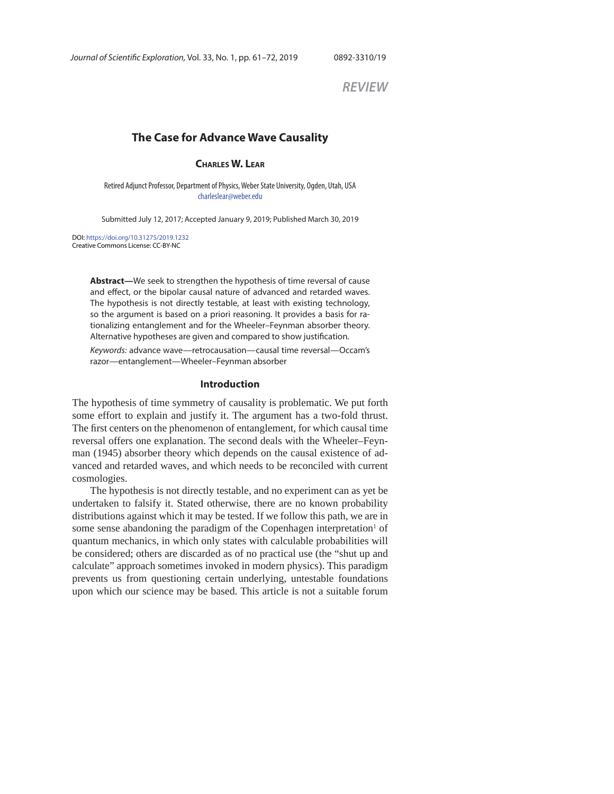*REVIEW*

# **The Case for Advance Wave Causality**

### **CHARLES W. LEAR**

Retired Adjunct Professor, Department of Physics, Weber State University, Ogden, Utah, USA charleslear@weber.edu

Submitted July 12, 2017; Accepted January 9, 2019; Published March 30, 2019

DOI: https://doi.org/10.31275/2019.1232 Creative Commons License: CC-BY-NC

> **Abstract—**We seek to strengthen the hypothesis of time reversal of cause and effect, or the bipolar causal nature of advanced and retarded waves. The hypothesis is not directly testable, at least with existing technology, so the argument is based on a priori reasoning. It provides a basis for rationalizing entanglement and for the Wheeler–Feynman absorber theory. Alternative hypotheses are given and compared to show justification.

> Keywords: advance wave—retrocausation—causal time reversal—Occam's razor—entanglement—Wheeler–Feynman absorber

#### **Introduction**

The hypothesis of time symmetry of causality is problematic. We put forth some effort to explain and justify it. The argument has a two-fold thrust. The first centers on the phenomenon of entanglement, for which causal time reversal offers one explanation. The second deals with the Wheeler–Feynman (1945) absorber theory which depends on the causal existence of advanced and retarded waves, and which needs to be reconciled with current cosmologies.

The hypothesis is not directly testable, and no experiment can as yet be undertaken to falsify it. Stated otherwise, there are no known probability distributions against which it may be tested. If we follow this path, we are in some sense abandoning the paradigm of the Copenhagen interpretation<sup>1</sup> of quantum mechanics, in which only states with calculable probabilities will be considered; others are discarded as of no practical use (the "shut up and calculate" approach sometimes invoked in modern physics). This paradigm prevents us from questioning certain underlying, untestable foundations upon which our science may be based. This article is not a suitable forum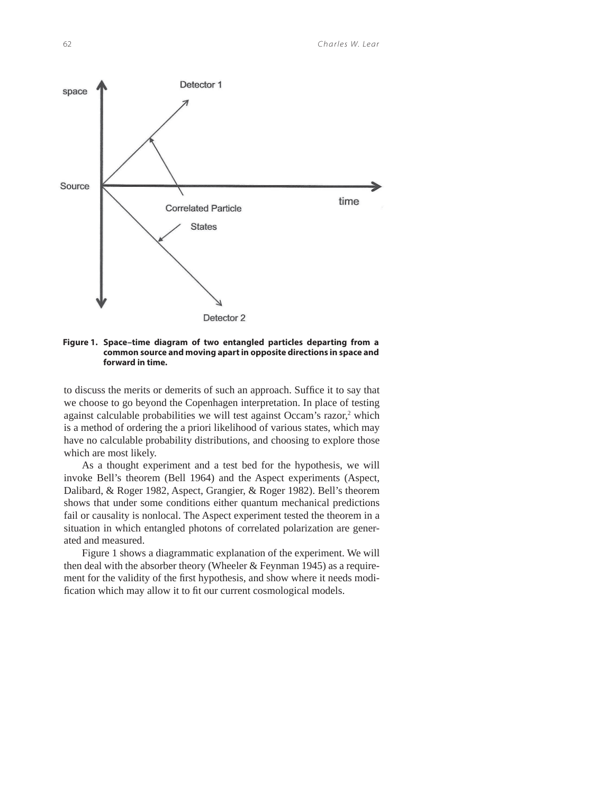

**Figure 1. Space–time diagram of two entangled particles departing from a common source and moving apart in opposite directions in space and forward in time.**

to discuss the merits or demerits of such an approach. Suffice it to say that we choose to go beyond the Copenhagen interpretation. In place of testing against calculable probabilities we will test against Occam's razor,<sup>2</sup> which is a method of ordering the a priori likelihood of various states, which may have no calculable probability distributions, and choosing to explore those which are most likely.

As a thought experiment and a test bed for the hypothesis, we will invoke Bell's theorem (Bell 1964) and the Aspect experiments (Aspect, Dalibard, & Roger 1982, Aspect, Grangier, & Roger 1982). Bell's theorem shows that under some conditions either quantum mechanical predictions fail or causality is nonlocal. The Aspect experiment tested the theorem in a situation in which entangled photons of correlated polarization are generated and measured.

Figure 1 shows a diagrammatic explanation of the experiment. We will then deal with the absorber theory (Wheeler  $&$  Feynman 1945) as a requirement for the validity of the first hypothesis, and show where it needs modification which may allow it to fit our current cosmological models.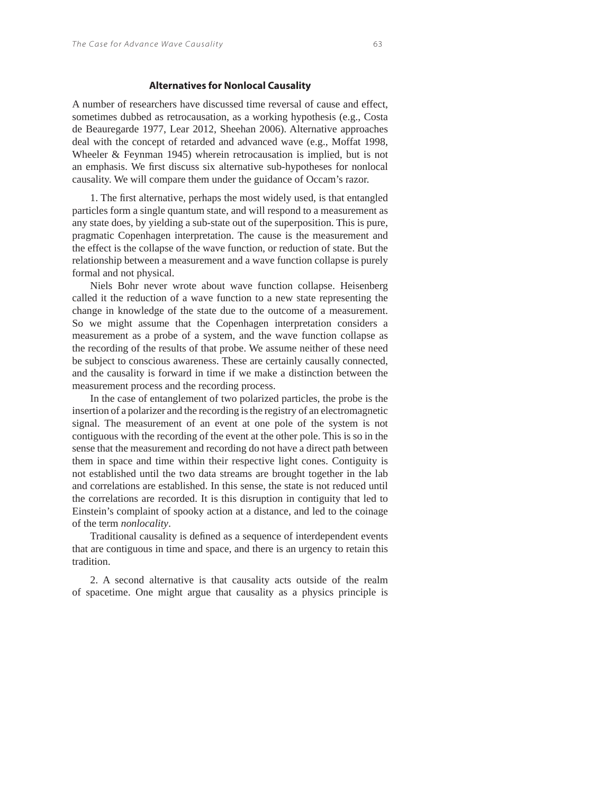### **Alternatives for Nonlocal Causality**

A number of researchers have discussed time reversal of cause and effect, sometimes dubbed as retrocausation, as a working hypothesis (e.g., Costa de Beauregarde 1977, Lear 2012, Sheehan 2006). Alternative approaches deal with the concept of retarded and advanced wave (e.g., Moffat 1998, Wheeler & Feynman 1945) wherein retrocausation is implied, but is not an emphasis. We first discuss six alternative sub-hypotheses for nonlocal causality. We will compare them under the guidance of Occam's razor.

1. The first alternative, perhaps the most widely used, is that entangled particles form a single quantum state, and will respond to a measurement as any state does, by yielding a sub-state out of the superposition. This is pure, pragmatic Copenhagen interpretation. The cause is the measurement and the effect is the collapse of the wave function, or reduction of state. But the relationship between a measurement and a wave function collapse is purely formal and not physical.

Niels Bohr never wrote about wave function collapse. Heisenberg called it the reduction of a wave function to a new state representing the change in knowledge of the state due to the outcome of a measurement. So we might assume that the Copenhagen interpretation considers a measurement as a probe of a system, and the wave function collapse as the recording of the results of that probe. We assume neither of these need be subject to conscious awareness. These are certainly causally connected, and the causality is forward in time if we make a distinction between the measurement process and the recording process.

In the case of entanglement of two polarized particles, the probe is the insertion of a polarizer and the recording is the registry of an electromagnetic signal. The measurement of an event at one pole of the system is not contiguous with the recording of the event at the other pole. This is so in the sense that the measurement and recording do not have a direct path between them in space and time within their respective light cones. Contiguity is not established until the two data streams are brought together in the lab and correlations are established. In this sense, the state is not reduced until the correlations are recorded. It is this disruption in contiguity that led to Einstein's complaint of spooky action at a distance, and led to the coinage of the term *nonlocality*.

Traditional causality is defined as a sequence of interdependent events that are contiguous in time and space, and there is an urgency to retain this tradition.

2. A second alternative is that causality acts outside of the realm of spacetime. One might argue that causality as a physics principle is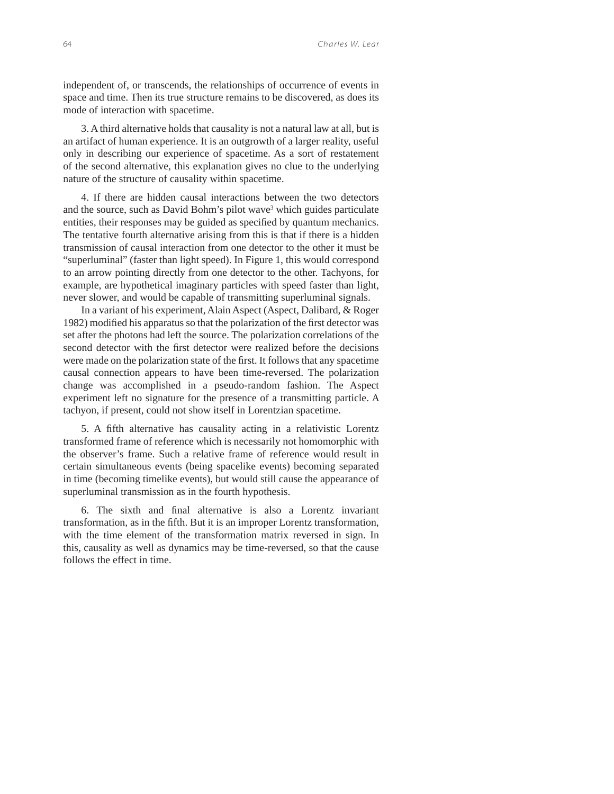independent of, or transcends, the relationships of occurrence of events in space and time. Then its true structure remains to be discovered, as does its mode of interaction with spacetime.

3. A third alternative holds that causality is not a natural law at all, but is an artifact of human experience. It is an outgrowth of a larger reality, useful only in describing our experience of spacetime. As a sort of restatement of the second alternative, this explanation gives no clue to the underlying nature of the structure of causality within spacetime.

4. If there are hidden causal interactions between the two detectors and the source, such as David Bohm's pilot wave<sup>3</sup> which guides particulate entities, their responses may be guided as specified by quantum mechanics. The tentative fourth alternative arising from this is that if there is a hidden transmission of causal interaction from one detector to the other it must be "superluminal" (faster than light speed). In Figure 1, this would correspond to an arrow pointing directly from one detector to the other. Tachyons, for example, are hypothetical imaginary particles with speed faster than light, never slower, and would be capable of transmitting superluminal signals.

In a variant of his experiment, Alain Aspect (Aspect, Dalibard, & Roger 1982) modified his apparatus so that the polarization of the first detector was set after the photons had left the source. The polarization correlations of the second detector with the first detector were realized before the decisions were made on the polarization state of the first. It follows that any spacetime causal connection appears to have been time-reversed. The polarization change was accomplished in a pseudo-random fashion. The Aspect experiment left no signature for the presence of a transmitting particle. A tachyon, if present, could not show itself in Lorentzian spacetime.

5. A fifth alternative has causality acting in a relativistic Lorentz transformed frame of reference which is necessarily not homomorphic with the observer's frame. Such a relative frame of reference would result in certain simultaneous events (being spacelike events) becoming separated in time (becoming timelike events), but would still cause the appearance of superluminal transmission as in the fourth hypothesis.

6. The sixth and final alternative is also a Lorentz invariant transformation, as in the fifth. But it is an improper Lorentz transformation, with the time element of the transformation matrix reversed in sign. In this, causality as well as dynamics may be time-reversed, so that the cause follows the effect in time.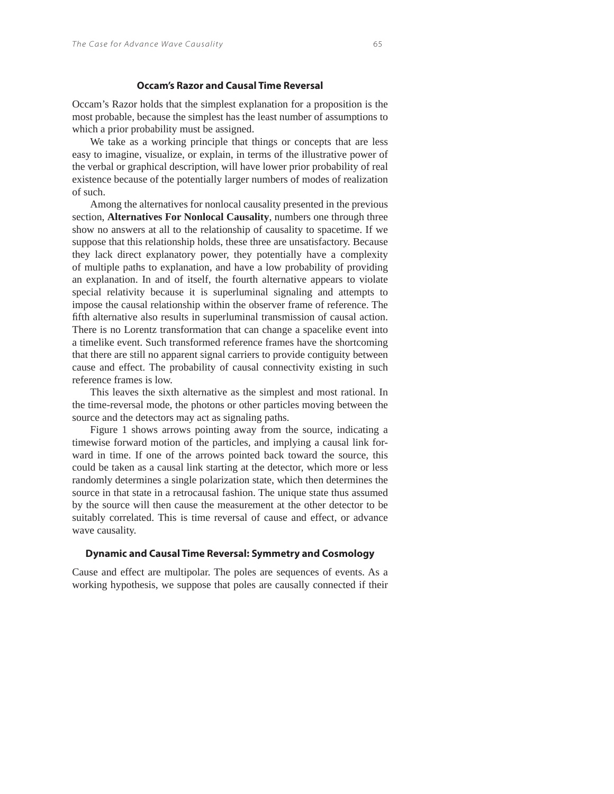### **Occam's Razor and Causal Time Reversal**

Occam's Razor holds that the simplest explanation for a proposition is the most probable, because the simplest has the least number of assumptions to which a prior probability must be assigned.

We take as a working principle that things or concepts that are less easy to imagine, visualize, or explain, in terms of the illustrative power of the verbal or graphical description, will have lower prior probability of real existence because of the potentially larger numbers of modes of realization of such.

Among the alternatives for nonlocal causality presented in the previous section, **Alternatives For Nonlocal Causality**, numbers one through three show no answers at all to the relationship of causality to spacetime. If we suppose that this relationship holds, these three are unsatisfactory. Because they lack direct explanatory power, they potentially have a complexity of multiple paths to explanation, and have a low probability of providing an explanation. In and of itself, the fourth alternative appears to violate special relativity because it is superluminal signaling and attempts to impose the causal relationship within the observer frame of reference. The fifth alternative also results in superluminal transmission of causal action. There is no Lorentz transformation that can change a spacelike event into a timelike event. Such transformed reference frames have the shortcoming that there are still no apparent signal carriers to provide contiguity between cause and effect. The probability of causal connectivity existing in such reference frames is low.

This leaves the sixth alternative as the simplest and most rational. In the time-reversal mode, the photons or other particles moving between the source and the detectors may act as signaling paths.

Figure 1 shows arrows pointing away from the source, indicating a timewise forward motion of the particles, and implying a causal link forward in time. If one of the arrows pointed back toward the source, this could be taken as a causal link starting at the detector, which more or less randomly determines a single polarization state, which then determines the source in that state in a retrocausal fashion. The unique state thus assumed by the source will then cause the measurement at the other detector to be suitably correlated. This is time reversal of cause and effect, or advance wave causality.

#### **Dynamic and Causal Time Reversal: Symmetry and Cosmology**

Cause and effect are multipolar. The poles are sequences of events. As a working hypothesis, we suppose that poles are causally connected if their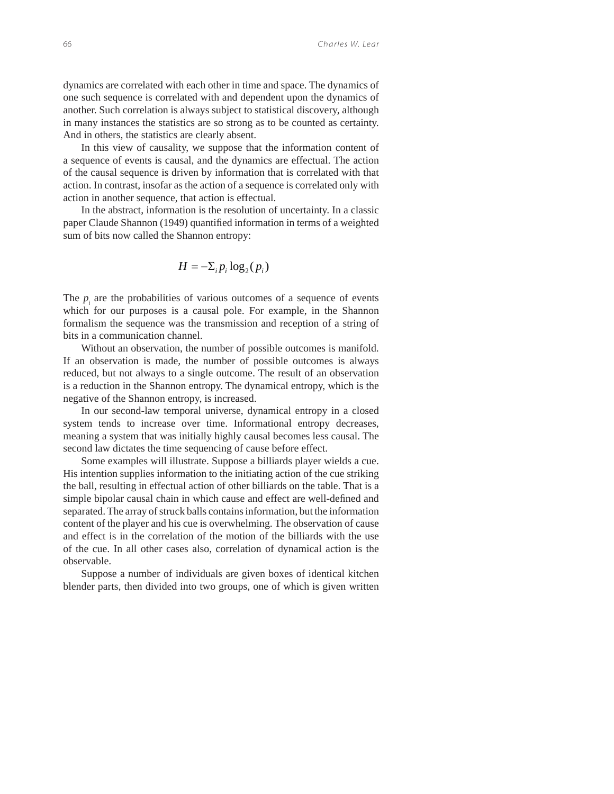dynamics are correlated with each other in time and space. The dynamics of one such sequence is correlated with and dependent upon the dynamics of another. Such correlation is always subject to statistical discovery, although in many instances the statistics are so strong as to be counted as certainty. And in others, the statistics are clearly absent.

In this view of causality, we suppose that the information content of a sequence of events is causal, and the dynamics are effectual. The action of the causal sequence is driven by information that is correlated with that action. In contrast, insofar as the action of a sequence is correlated only with action in another sequence, that action is effectual.

In the abstract, information is the resolution of uncertainty. In a classic paper Claude Shannon (1949) quantified information in terms of a weighted sum of bits now called the Shannon entropy:

$$
H = -\Sigma_i p_i \log_2(p_i)
$$

The  $p_i$  are the probabilities of various outcomes of a sequence of events which for our purposes is a causal pole. For example, in the Shannon formalism the sequence was the transmission and reception of a string of bits in a communication channel.

Without an observation, the number of possible outcomes is manifold. If an observation is made, the number of possible outcomes is always reduced, but not always to a single outcome. The result of an observation is a reduction in the Shannon entropy. The dynamical entropy, which is the negative of the Shannon entropy, is increased.

In our second-law temporal universe, dynamical entropy in a closed system tends to increase over time. Informational entropy decreases, meaning a system that was initially highly causal becomes less causal. The second law dictates the time sequencing of cause before effect.

Some examples will illustrate. Suppose a billiards player wields a cue. His intention supplies information to the initiating action of the cue striking the ball, resulting in effectual action of other billiards on the table. That is a simple bipolar causal chain in which cause and effect are well-defined and separated. The array of struck balls contains information, but the information content of the player and his cue is overwhelming. The observation of cause and effect is in the correlation of the motion of the billiards with the use of the cue. In all other cases also, correlation of dynamical action is the observable.

Suppose a number of individuals are given boxes of identical kitchen blender parts, then divided into two groups, one of which is given written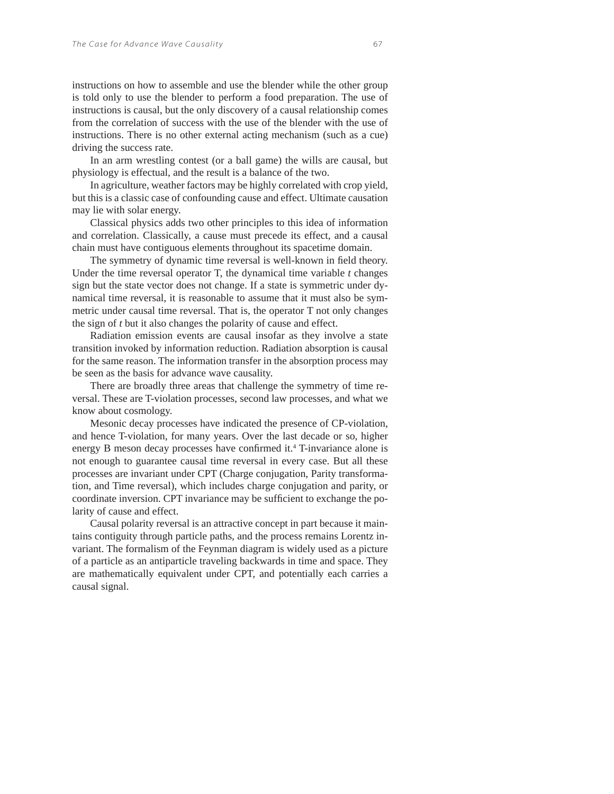instructions on how to assemble and use the blender while the other group is told only to use the blender to perform a food preparation. The use of instructions is causal, but the only discovery of a causal relationship comes from the correlation of success with the use of the blender with the use of instructions. There is no other external acting mechanism (such as a cue) driving the success rate.

In an arm wrestling contest (or a ball game) the wills are causal, but physiology is effectual, and the result is a balance of the two.

In agriculture, weather factors may be highly correlated with crop yield, but this is a classic case of confounding cause and effect. Ultimate causation may lie with solar energy.

Classical physics adds two other principles to this idea of information and correlation. Classically, a cause must precede its effect, and a causal chain must have contiguous elements throughout its spacetime domain.

The symmetry of dynamic time reversal is well-known in field theory. Under the time reversal operator T, the dynamical time variable *t* changes sign but the state vector does not change. If a state is symmetric under dynamical time reversal, it is reasonable to assume that it must also be symmetric under causal time reversal. That is, the operator T not only changes the sign of *t* but it also changes the polarity of cause and effect.

Radiation emission events are causal insofar as they involve a state transition invoked by information reduction. Radiation absorption is causal for the same reason. The information transfer in the absorption process may be seen as the basis for advance wave causality.

There are broadly three areas that challenge the symmetry of time reversal. These are T-violation processes, second law processes, and what we know about cosmology.

Mesonic decay processes have indicated the presence of CP-violation, and hence T-violation, for many years. Over the last decade or so, higher energy B meson decay processes have confirmed it.<sup>4</sup> T-invariance alone is not enough to guarantee causal time reversal in every case. But all these processes are invariant under CPT (Charge conjugation, Parity transformation, and Time reversal), which includes charge conjugation and parity, or coordinate inversion. CPT invariance may be sufficient to exchange the polarity of cause and effect.

Causal polarity reversal is an attractive concept in part because it maintains contiguity through particle paths, and the process remains Lorentz invariant. The formalism of the Feynman diagram is widely used as a picture of a particle as an antiparticle traveling backwards in time and space. They are mathematically equivalent under CPT, and potentially each carries a causal signal.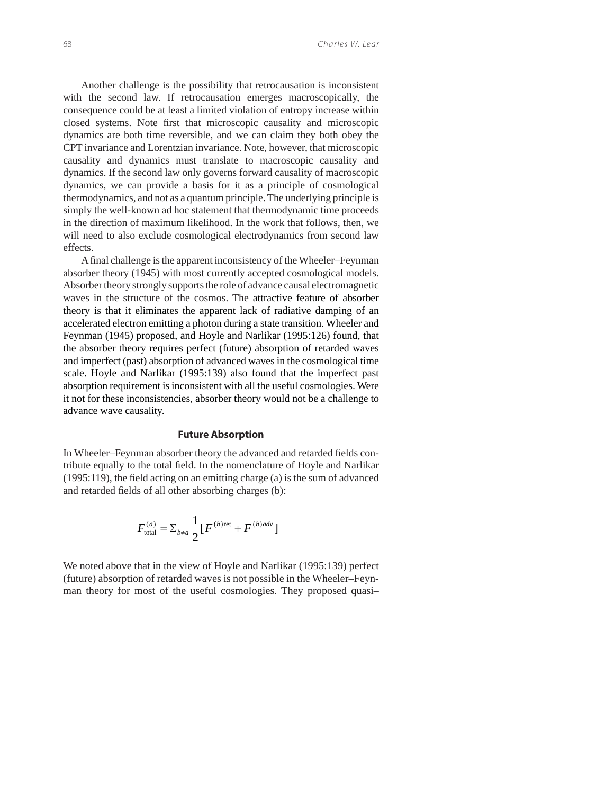Another challenge is the possibility that retrocausation is inconsistent with the second law. If retrocausation emerges macroscopically, the consequence could be at least a limited violation of entropy increase within closed systems. Note first that microscopic causality and microscopic dynamics are both time reversible, and we can claim they both obey the CPT invariance and Lorentzian invariance. Note, however, that microscopic causality and dynamics must translate to macroscopic causality and dynamics. If the second law only governs forward causality of macroscopic dynamics, we can provide a basis for it as a principle of cosmological thermodynamics, and not as a quantum principle. The underlying principle is simply the well-known ad hoc statement that thermodynamic time proceeds in the direction of maximum likelihood. In the work that follows, then, we will need to also exclude cosmological electrodynamics from second law effects.

A final challenge is the apparent inconsistency of the Wheeler–Feynman absorber theory (1945) with most currently accepted cosmological models. Absorber theory strongly supports the role of advance causal electromagnetic waves in the structure of the cosmos. The attractive feature of absorber theory is that it eliminates the apparent lack of radiative damping of an accelerated electron emitting a photon during a state transition. Wheeler and Feynman (1945) proposed, and Hoyle and Narlikar (1995:126) found, that the absorber theory requires perfect (future) absorption of retarded waves and imperfect (past) absorption of advanced waves in the cosmological time scale. Hoyle and Narlikar (1995:139) also found that the imperfect past absorption requirement is inconsistent with all the useful cosmologies. Were it not for these inconsistencies, absorber theory would not be a challenge to advance wave causality.

#### **Future Absorption**

In Wheeler–Feynman absorber theory the advanced and retarded fields contribute equally to the total field. In the nomenclature of Hoyle and Narlikar  $(1995:119)$ , the field acting on an emitting charge (a) is the sum of advanced and retarded fields of all other absorbing charges (b):

$$
F_{\text{total}}^{(a)} = \Sigma_{b \neq a} \frac{1}{2} \big[ F^{(b) \text{ret}} + F^{(b) \text{adv}} \big]
$$

We noted above that in the view of Hoyle and Narlikar (1995:139) perfect (future) absorption of retarded waves is not possible in the Wheeler–Feynman theory for most of the useful cosmologies. They proposed quasi–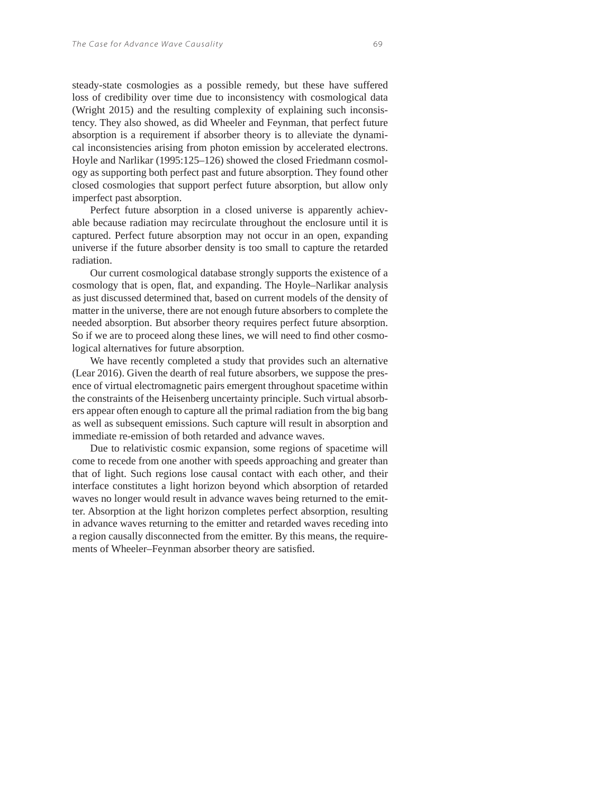steady-state cosmologies as a possible remedy, but these have suffered loss of credibility over time due to inconsistency with cosmological data (Wright 2015) and the resulting complexity of explaining such inconsistency. They also showed, as did Wheeler and Feynman, that perfect future absorption is a requirement if absorber theory is to alleviate the dynamical inconsistencies arising from photon emission by accelerated electrons. Hoyle and Narlikar (1995:125–126) showed the closed Friedmann cosmology as supporting both perfect past and future absorption. They found other closed cosmologies that support perfect future absorption, but allow only imperfect past absorption.

Perfect future absorption in a closed universe is apparently achievable because radiation may recirculate throughout the enclosure until it is captured. Perfect future absorption may not occur in an open, expanding universe if the future absorber density is too small to capture the retarded radiation.

Our current cosmological database strongly supports the existence of a cosmology that is open, flat, and expanding. The Hoyle–Narlikar analysis as just discussed determined that, based on current models of the density of matter in the universe, there are not enough future absorbers to complete the needed absorption. But absorber theory requires perfect future absorption. So if we are to proceed along these lines, we will need to find other cosmological alternatives for future absorption.

We have recently completed a study that provides such an alternative (Lear 2016). Given the dearth of real future absorbers, we suppose the presence of virtual electromagnetic pairs emergent throughout spacetime within the constraints of the Heisenberg uncertainty principle. Such virtual absorbers appear often enough to capture all the primal radiation from the big bang as well as subsequent emissions. Such capture will result in absorption and immediate re-emission of both retarded and advance waves.

Due to relativistic cosmic expansion, some regions of spacetime will come to recede from one another with speeds approaching and greater than that of light. Such regions lose causal contact with each other, and their interface constitutes a light horizon beyond which absorption of retarded waves no longer would result in advance waves being returned to the emitter. Absorption at the light horizon completes perfect absorption, resulting in advance waves returning to the emitter and retarded waves receding into a region causally disconnected from the emitter. By this means, the requirements of Wheeler–Feynman absorber theory are satisfied.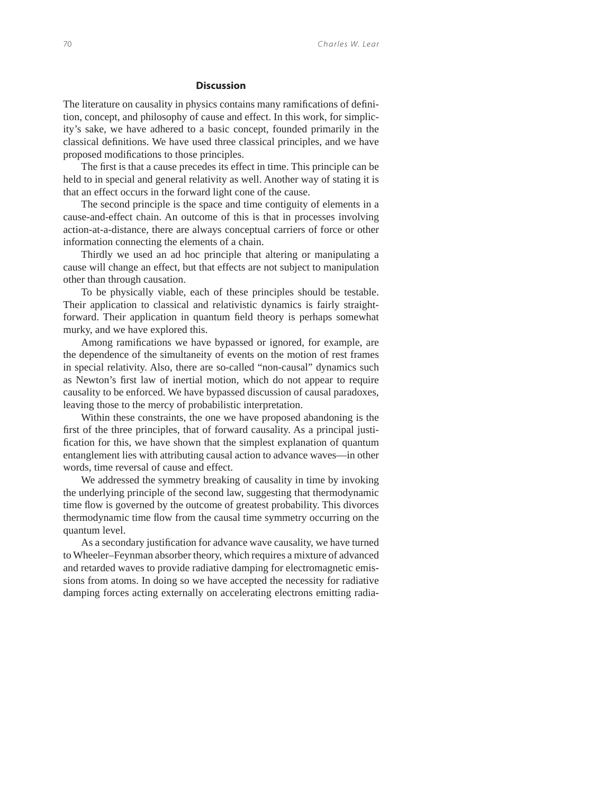#### **Discussion**

The literature on causality in physics contains many ramifications of definition, concept, and philosophy of cause and effect. In this work, for simplicity's sake, we have adhered to a basic concept, founded primarily in the classical definitions. We have used three classical principles, and we have proposed modifications to those principles.

The first is that a cause precedes its effect in time. This principle can be held to in special and general relativity as well. Another way of stating it is that an effect occurs in the forward light cone of the cause.

The second principle is the space and time contiguity of elements in a cause-and-effect chain. An outcome of this is that in processes involving action-at-a-distance, there are always conceptual carriers of force or other information connecting the elements of a chain.

Thirdly we used an ad hoc principle that altering or manipulating a cause will change an effect, but that effects are not subject to manipulation other than through causation.

To be physically viable, each of these principles should be testable. Their application to classical and relativistic dynamics is fairly straightforward. Their application in quantum field theory is perhaps somewhat murky, and we have explored this.

Among ramifications we have bypassed or ignored, for example, are the dependence of the simultaneity of events on the motion of rest frames in special relativity. Also, there are so-called "non-causal" dynamics such as Newton's first law of inertial motion, which do not appear to require causality to be enforced. We have bypassed discussion of causal paradoxes, leaving those to the mercy of probabilistic interpretation.

Within these constraints, the one we have proposed abandoning is the first of the three principles, that of forward causality. As a principal justification for this, we have shown that the simplest explanation of quantum entanglement lies with attributing causal action to advance waves—in other words, time reversal of cause and effect.

We addressed the symmetry breaking of causality in time by invoking the underlying principle of the second law, suggesting that thermodynamic time flow is governed by the outcome of greatest probability. This divorces thermodynamic time flow from the causal time symmetry occurring on the quantum level.

As a secondary justification for advance wave causality, we have turned to Wheeler–Feynman absorber theory, which requires a mixture of advanced and retarded waves to provide radiative damping for electromagnetic emissions from atoms. In doing so we have accepted the necessity for radiative damping forces acting externally on accelerating electrons emitting radia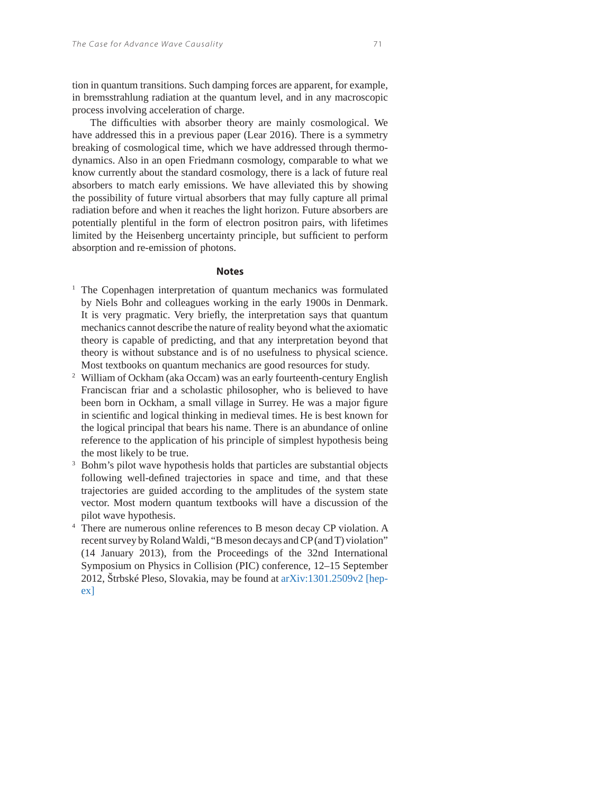tion in quantum transitions. Such damping forces are apparent, for example, in bremsstrahlung radiation at the quantum level, and in any macroscopic process involving acceleration of charge.

The difficulties with absorber theory are mainly cosmological. We have addressed this in a previous paper (Lear 2016). There is a symmetry breaking of cosmological time, which we have addressed through thermodynamics. Also in an open Friedmann cosmology, comparable to what we know currently about the standard cosmology, there is a lack of future real absorbers to match early emissions. We have alleviated this by showing the possibility of future virtual absorbers that may fully capture all primal radiation before and when it reaches the light horizon. Future absorbers are potentially plentiful in the form of electron positron pairs, with lifetimes limited by the Heisenberg uncertainty principle, but sufficient to perform absorption and re-emission of photons.

#### **Notes**

- <sup>1</sup> The Copenhagen interpretation of quantum mechanics was formulated by Niels Bohr and colleagues working in the early 1900s in Denmark. It is very pragmatic. Very briefly, the interpretation says that quantum mechanics cannot describe the nature of reality beyond what the axiomatic theory is capable of predicting, and that any interpretation beyond that theory is without substance and is of no usefulness to physical science. Most textbooks on quantum mechanics are good resources for study.
- <sup>2</sup> William of Ockham (aka Occam) was an early fourteenth-century English Franciscan friar and a scholastic philosopher, who is believed to have been born in Ockham, a small village in Surrey. He was a major figure in scientific and logical thinking in medieval times. He is best known for the logical principal that bears his name. There is an abundance of online reference to the application of his principle of simplest hypothesis being the most likely to be true.
- 3 Bohm's pilot wave hypothesis holds that particles are substantial objects following well-defined trajectories in space and time, and that these trajectories are guided according to the amplitudes of the system state vector. Most modern quantum textbooks will have a discussion of the pilot wave hypothesis.
- 4 There are numerous online references to B meson decay CP violation. A recent survey by Roland Waldi, "B meson decays and CP (and T) violation" (14 January 2013), from the Proceedings of the 32nd International Symposium on Physics in Collision (PIC) conference, 12–15 September 2012, Štrbské Pleso, Slovakia, may be found at arXiv:1301.2509v2 [hepex]